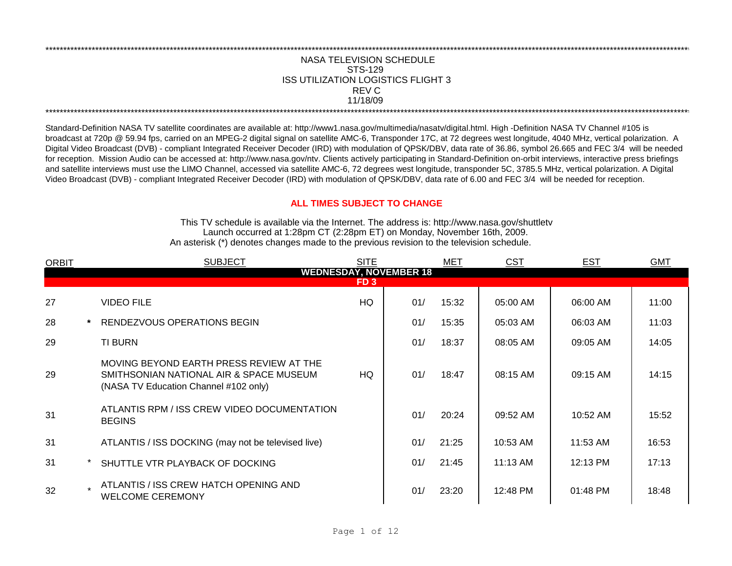## NASA TELEVISION SCHEDULE STS-129 REV C 11/18/09 \*\*\*\*\*\*\*\*\*\*\*\*\*\*\*\*\*\*\*\*\*\*\*\*\*\*\*\*\*\*\*\*\*\*\*\*\*\*\*\*\*\*\*\*\*\*\*\*\*\*\*\*\*\*\*\*\*\*\*\*\*\*\*\*\*\*\*\*\*\*\*\*\*\*\*\*\*\*\*\*\*\*\*\*\*\*\*\*\*\*\*\*\*\*\*\*\*\*\*\*\*\*\*\*\*\*\*\*\*\*\*\*\*\*\*\*\*\*\*\*\*\*\*\*\*\*\*\*\*\*\*\*\*\*\*\*\*\*\*\*\*\*\*\*\*\*\*\*\*\*\*\*\*\*\*\*\*\*\*\*\*\*\*\*\*\*\*\*\*\*\*\*\*\*\*\*\*\*\*\*\*\*\*\*\* ISS UTILIZATION LOGISTICS FLIGHT 3

\*\*\*\*\*\*\*\*\*\*\*\*\*\*\*\*\*\*\*\*\*\*\*\*\*\*\*\*\*\*\*\*\*\*\*\*\*\*\*\*\*\*\*\*\*\*\*\*\*\*\*\*\*\*\*\*\*\*\*\*\*\*\*\*\*\*\*\*\*\*\*\*\*\*\*\*\*\*\*\*\*\*\*\*\*\*\*\*\*\*\*\*\*\*\*\*\*\*\*\*\*\*\*\*\*\*\*\*\*\*\*\*\*\*\*\*\*\*\*\*\*\*\*\*\*\*\*\*\*\*\*\*\*\*\*\*\*\*\*\*\*\*\*\*\*\*\*\*\*\*\*\*\*\*\*\*\*\*\*\*\*\*\*\*\*\*\*\*\*\*\*\*\*\*\*\*\*\*\*\*\*\*\*\*\*

Standard-Definition NASA TV satellite coordinates are available at: http://www1.nasa.gov/multimedia/nasatv/digital.html. High -Definition NASA TV Channel #105 is broadcast at 720p @ 59.94 fps, carried on an MPEG-2 digital signal on satellite AMC-6, Transponder 17C, at 72 degrees west longitude, 4040 MHz, vertical polarization. A Digital Video Broadcast (DVB) - compliant Integrated Receiver Decoder (IRD) with modulation of QPSK/DBV, data rate of 36.86, symbol 26.665 and FEC 3/4 will be needed for reception. Mission Audio can be accessed at: http://www.nasa.gov/ntv. Clients actively participating in Standard-Definition on-orbit interviews, interactive press briefings and satellite interviews must use the LIMO Channel, accessed via satellite AMC-6, 72 degrees west longitude, transponder 5C, 3785.5 MHz, vertical polarization. A Digital Video Broadcast (DVB) - compliant Integrated Receiver Decoder (IRD) with modulation of QPSK/DBV, data rate of 6.00 and FEC 3/4 will be needed for reception.

## **ALL TIMES SUBJECT TO CHANGE**

Launch occurred at 1:28pm CT (2:28pm ET) on Monday, November 16th, 2009. An asterisk (\*) denotes changes made to the previous revision to the television schedule. This TV schedule is available via the Internet. The address is: http://www.nasa.gov/shuttletv

| <b>ORBIT</b> |                 | <b>SUBJECT</b>                                                                                                              | <b>SITE</b> |     | <b>MET</b> | <b>CST</b> | <b>EST</b> | <b>GMT</b> |  |  |  |  |  |
|--------------|-----------------|-----------------------------------------------------------------------------------------------------------------------------|-------------|-----|------------|------------|------------|------------|--|--|--|--|--|
|              |                 | <b>WEDNESDAY, NOVEMBER 18</b>                                                                                               |             |     |            |            |            |            |  |  |  |  |  |
|              | FD <sub>3</sub> |                                                                                                                             |             |     |            |            |            |            |  |  |  |  |  |
| 27           |                 | <b>VIDEO FILE</b>                                                                                                           | HQ          | 01/ | 15:32      | 05:00 AM   | 06:00 AM   | 11:00      |  |  |  |  |  |
| 28           |                 | RENDEZVOUS OPERATIONS BEGIN                                                                                                 |             | 01/ | 15:35      | 05:03 AM   | 06:03 AM   | 11:03      |  |  |  |  |  |
| 29           |                 | TI BURN                                                                                                                     |             | 01/ | 18:37      | 08:05 AM   | 09:05 AM   | 14:05      |  |  |  |  |  |
| 29           |                 | MOVING BEYOND EARTH PRESS REVIEW AT THE<br>SMITHSONIAN NATIONAL AIR & SPACE MUSEUM<br>(NASA TV Education Channel #102 only) | HQ          | 01/ | 18:47      | 08:15 AM   | 09:15 AM   | 14:15      |  |  |  |  |  |
| 31           |                 | ATLANTIS RPM / ISS CREW VIDEO DOCUMENTATION<br><b>BEGINS</b>                                                                |             | 01/ | 20:24      | 09:52 AM   | 10:52 AM   | 15:52      |  |  |  |  |  |
| 31           |                 | ATLANTIS / ISS DOCKING (may not be televised live)                                                                          |             | 01/ | 21:25      | 10:53 AM   | 11:53 AM   | 16:53      |  |  |  |  |  |
| 31           |                 | SHUTTLE VTR PLAYBACK OF DOCKING                                                                                             |             | 01/ | 21:45      | $11:13$ AM | 12:13 PM   | 17:13      |  |  |  |  |  |
| 32           |                 | ATLANTIS / ISS CREW HATCH OPENING AND<br><b>WELCOME CEREMONY</b>                                                            |             | 01/ | 23:20      | 12:48 PM   | 01:48 PM   | 18:48      |  |  |  |  |  |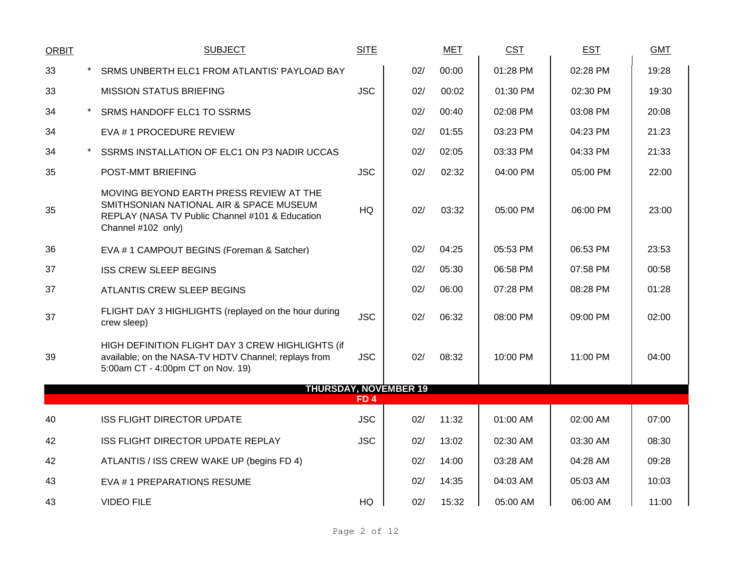| <b>ORBIT</b> | <b>SUBJECT</b>                                                                                                                                              | <b>SITE</b>     |     | <b>MET</b> | <b>CST</b> | <b>EST</b> | <b>GMT</b> |
|--------------|-------------------------------------------------------------------------------------------------------------------------------------------------------------|-----------------|-----|------------|------------|------------|------------|
| 33           | SRMS UNBERTH ELC1 FROM ATLANTIS' PAYLOAD BAY                                                                                                                |                 | 02/ | 00:00      | 01:28 PM   | 02:28 PM   | 19:28      |
| 33           | <b>MISSION STATUS BRIEFING</b>                                                                                                                              | <b>JSC</b>      | 02/ | 00:02      | 01:30 PM   | 02:30 PM   | 19:30      |
| 34           | <b>SRMS HANDOFF ELC1 TO SSRMS</b>                                                                                                                           |                 | 02/ | 00:40      | 02:08 PM   | 03:08 PM   | 20:08      |
| 34           | EVA # 1 PROCEDURE REVIEW                                                                                                                                    |                 | 02/ | 01:55      | 03:23 PM   | 04:23 PM   | 21:23      |
| 34           | SSRMS INSTALLATION OF ELC1 ON P3 NADIR UCCAS                                                                                                                |                 | 02/ | 02:05      | 03:33 PM   | 04:33 PM   | 21:33      |
| 35           | POST-MMT BRIEFING                                                                                                                                           | <b>JSC</b>      | 02/ | 02:32      | 04:00 PM   | 05:00 PM   | 22:00      |
| 35           | MOVING BEYOND EARTH PRESS REVIEW AT THE<br>SMITHSONIAN NATIONAL AIR & SPACE MUSEUM<br>REPLAY (NASA TV Public Channel #101 & Education<br>Channel #102 only) | HQ              | 02/ | 03:32      | 05:00 PM   | 06:00 PM   | 23:00      |
| 36           | EVA # 1 CAMPOUT BEGINS (Foreman & Satcher)                                                                                                                  |                 | 02/ | 04:25      | 05:53 PM   | 06:53 PM   | 23:53      |
| 37           | <b>ISS CREW SLEEP BEGINS</b>                                                                                                                                |                 | 02/ | 05:30      | 06:58 PM   | 07:58 PM   | 00:58      |
| 37           | ATLANTIS CREW SLEEP BEGINS                                                                                                                                  |                 | 02/ | 06:00      | 07:28 PM   | 08:28 PM   | 01:28      |
| 37           | FLIGHT DAY 3 HIGHLIGHTS (replayed on the hour during<br>crew sleep)                                                                                         | <b>JSC</b>      | 02/ | 06:32      | 08:00 PM   | 09:00 PM   | 02:00      |
| 39           | HIGH DEFINITION FLIGHT DAY 3 CREW HIGHLIGHTS (if<br>available; on the NASA-TV HDTV Channel; replays from<br>5:00am CT - 4:00pm CT on Nov. 19)               | <b>JSC</b>      | 02/ | 08:32      | 10:00 PM   | 11:00 PM   | 04:00      |
|              | <b>THURSDAY, NOVEMBER 19</b>                                                                                                                                | FD <sub>4</sub> |     |            |            |            |            |
| 40           | <b>ISS FLIGHT DIRECTOR UPDATE</b>                                                                                                                           | <b>JSC</b>      | 02/ | 11:32      | 01:00 AM   | 02:00 AM   | 07:00      |
| 42           | ISS FLIGHT DIRECTOR UPDATE REPLAY                                                                                                                           | <b>JSC</b>      | 02/ | 13:02      | 02:30 AM   | 03:30 AM   | 08:30      |
| 42           | ATLANTIS / ISS CREW WAKE UP (begins FD 4)                                                                                                                   |                 | 02/ | 14:00      | 03:28 AM   | 04:28 AM   | 09:28      |
| 43           | EVA #1 PREPARATIONS RESUME                                                                                                                                  |                 | 02/ | 14:35      | 04:03 AM   | 05:03 AM   | 10:03      |
| 43           | <b>VIDEO FILE</b>                                                                                                                                           | HQ              | 02/ | 15:32      | 05:00 AM   | 06:00 AM   | 11:00      |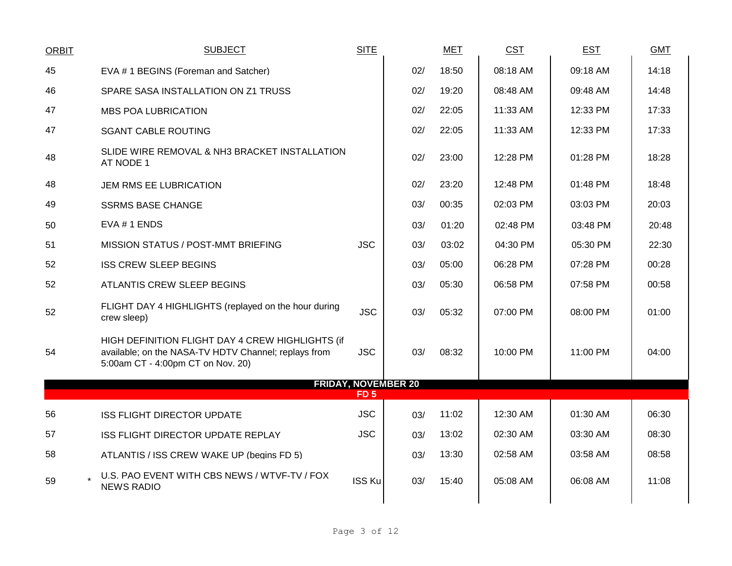| <b>ORBIT</b> | <b>SUBJECT</b>                                                                                                                                | <b>SITE</b>     |                            | <b>MET</b> | <b>CST</b> | <b>EST</b> | <b>GMT</b> |
|--------------|-----------------------------------------------------------------------------------------------------------------------------------------------|-----------------|----------------------------|------------|------------|------------|------------|
| 45           | EVA # 1 BEGINS (Foreman and Satcher)                                                                                                          |                 | 02/                        | 18:50      | 08:18 AM   | 09:18 AM   | 14:18      |
| 46           | SPARE SASA INSTALLATION ON Z1 TRUSS                                                                                                           |                 | 02/                        | 19:20      | 08:48 AM   | 09:48 AM   | 14:48      |
| 47           | <b>MBS POA LUBRICATION</b>                                                                                                                    |                 | 02/                        | 22:05      | 11:33 AM   | 12:33 PM   | 17:33      |
| 47           | <b>SGANT CABLE ROUTING</b>                                                                                                                    |                 | 02/                        | 22:05      | 11:33 AM   | 12:33 PM   | 17:33      |
| 48           | SLIDE WIRE REMOVAL & NH3 BRACKET INSTALLATION<br>AT NODE 1                                                                                    |                 | 02/                        | 23:00      | 12:28 PM   | 01:28 PM   | 18:28      |
| 48           | JEM RMS EE LUBRICATION                                                                                                                        |                 | 02/                        | 23:20      | 12:48 PM   | 01:48 PM   | 18:48      |
| 49           | <b>SSRMS BASE CHANGE</b>                                                                                                                      |                 | 03/                        | 00:35      | 02:03 PM   | 03:03 PM   | 20:03      |
| 50           | EVA #1 ENDS                                                                                                                                   |                 | 03/                        | 01:20      | 02:48 PM   | 03:48 PM   | 20:48      |
| 51           | MISSION STATUS / POST-MMT BRIEFING                                                                                                            | <b>JSC</b>      | 03/                        | 03:02      | 04:30 PM   | 05:30 PM   | 22:30      |
| 52           | <b>ISS CREW SLEEP BEGINS</b>                                                                                                                  |                 | 03/                        | 05:00      | 06:28 PM   | 07:28 PM   | 00:28      |
| 52           | ATLANTIS CREW SLEEP BEGINS                                                                                                                    |                 | 03/                        | 05:30      | 06:58 PM   | 07:58 PM   | 00:58      |
| 52           | FLIGHT DAY 4 HIGHLIGHTS (replayed on the hour during<br>crew sleep)                                                                           | <b>JSC</b>      | 03/                        | 05:32      | 07:00 PM   | 08:00 PM   | 01:00      |
| 54           | HIGH DEFINITION FLIGHT DAY 4 CREW HIGHLIGHTS (if<br>available; on the NASA-TV HDTV Channel; replays from<br>5:00am CT - 4:00pm CT on Nov. 20) | <b>JSC</b>      | 03/                        | 08:32      | 10:00 PM   | 11:00 PM   | 04:00      |
|              |                                                                                                                                               | FD <sub>5</sub> | <b>FRIDAY, NOVEMBER 20</b> |            |            |            |            |
| 56           | <b>ISS FLIGHT DIRECTOR UPDATE</b>                                                                                                             | <b>JSC</b>      | 03/                        | 11:02      | 12:30 AM   | 01:30 AM   | 06:30      |
| 57           | ISS FLIGHT DIRECTOR UPDATE REPLAY                                                                                                             | <b>JSC</b>      | 03/                        | 13:02      | 02:30 AM   | 03:30 AM   | 08:30      |
| 58           | ATLANTIS / ISS CREW WAKE UP (begins FD 5)                                                                                                     |                 | 03/                        | 13:30      | 02:58 AM   | 03:58 AM   | 08:58      |
| 59           | U.S. PAO EVENT WITH CBS NEWS / WTVF-TV / FOX<br><b>NEWS RADIO</b>                                                                             | <b>ISS Ku</b>   | 03/                        | 15:40      | 05:08 AM   | 06:08 AM   | 11:08      |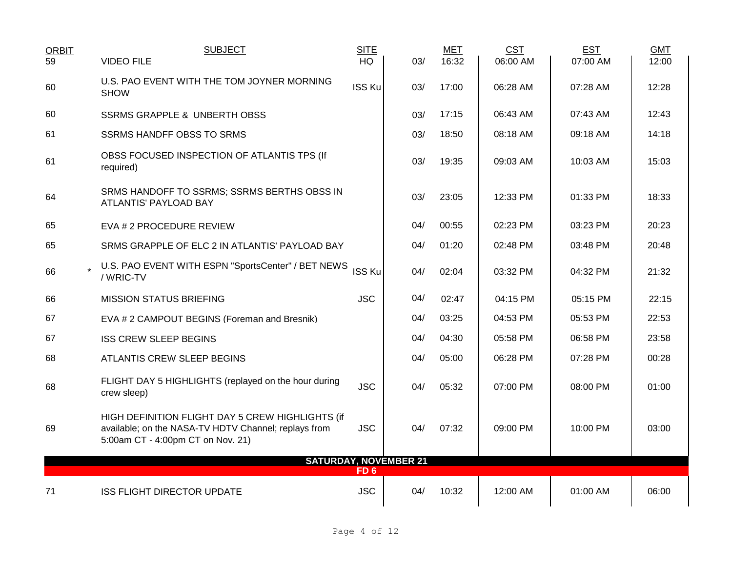| <b>ORBIT</b><br>59 | <b>SUBJECT</b>                                                                                                                                | <b>SITE</b>     |     | <b>MET</b> | <b>CST</b> | <b>EST</b> | <b>GMT</b> |
|--------------------|-----------------------------------------------------------------------------------------------------------------------------------------------|-----------------|-----|------------|------------|------------|------------|
|                    | <b>VIDEO FILE</b>                                                                                                                             | <b>HQ</b>       | 03/ | 16:32      | 06:00 AM   | 07:00 AM   | 12:00      |
| 60                 | U.S. PAO EVENT WITH THE TOM JOYNER MORNING<br><b>SHOW</b>                                                                                     | ISS Ku          | 03/ | 17:00      | 06:28 AM   | 07:28 AM   | 12:28      |
| 60                 | <b>SSRMS GRAPPLE &amp; UNBERTH OBSS</b>                                                                                                       |                 | 03/ | 17:15      | 06:43 AM   | 07:43 AM   | 12:43      |
| 61                 | <b>SSRMS HANDFF OBSS TO SRMS</b>                                                                                                              |                 | 03/ | 18:50      | 08:18 AM   | 09:18 AM   | 14:18      |
| 61                 | OBSS FOCUSED INSPECTION OF ATLANTIS TPS (If<br>required)                                                                                      |                 | 03/ | 19:35      | 09:03 AM   | 10:03 AM   | 15:03      |
| 64                 | SRMS HANDOFF TO SSRMS; SSRMS BERTHS OBSS IN<br>ATLANTIS' PAYLOAD BAY                                                                          |                 | 03/ | 23:05      | 12:33 PM   | 01:33 PM   | 18:33      |
| 65                 | EVA # 2 PROCEDURE REVIEW                                                                                                                      |                 | 04/ | 00:55      | 02:23 PM   | 03:23 PM   | 20:23      |
| 65                 | SRMS GRAPPLE OF ELC 2 IN ATLANTIS' PAYLOAD BAY                                                                                                |                 | 04/ | 01:20      | 02:48 PM   | 03:48 PM   | 20:48      |
| 66                 | U.S. PAO EVENT WITH ESPN "SportsCenter" / BET NEWS<br>/ WRIC-TV                                                                               | <b>ISS Ku</b>   | 04/ | 02:04      | 03:32 PM   | 04:32 PM   | 21:32      |
| 66                 | <b>MISSION STATUS BRIEFING</b>                                                                                                                | <b>JSC</b>      | 04/ | 02:47      | 04:15 PM   | 05:15 PM   | 22:15      |
| 67                 | EVA # 2 CAMPOUT BEGINS (Foreman and Bresnik)                                                                                                  |                 | 04/ | 03:25      | 04:53 PM   | 05:53 PM   | 22:53      |
| 67                 | <b>ISS CREW SLEEP BEGINS</b>                                                                                                                  |                 | 04/ | 04:30      | 05:58 PM   | 06:58 PM   | 23:58      |
| 68                 | ATLANTIS CREW SLEEP BEGINS                                                                                                                    |                 | 04/ | 05:00      | 06:28 PM   | 07:28 PM   | 00:28      |
| 68                 | FLIGHT DAY 5 HIGHLIGHTS (replayed on the hour during<br>crew sleep)                                                                           | <b>JSC</b>      | 04/ | 05:32      | 07:00 PM   | 08:00 PM   | 01:00      |
| 69                 | HIGH DEFINITION FLIGHT DAY 5 CREW HIGHLIGHTS (if<br>available; on the NASA-TV HDTV Channel; replays from<br>5:00am CT - 4:00pm CT on Nov. 21) | <b>JSC</b>      | 04/ | 07:32      | 09:00 PM   | 10:00 PM   | 03:00      |
|                    | <b>SATURDAY, NOVEMBER 21</b>                                                                                                                  | FD <sub>6</sub> |     |            |            |            |            |
| 71                 | <b>ISS FLIGHT DIRECTOR UPDATE</b>                                                                                                             | <b>JSC</b>      | 04/ | 10:32      | 12:00 AM   | 01:00 AM   | 06:00      |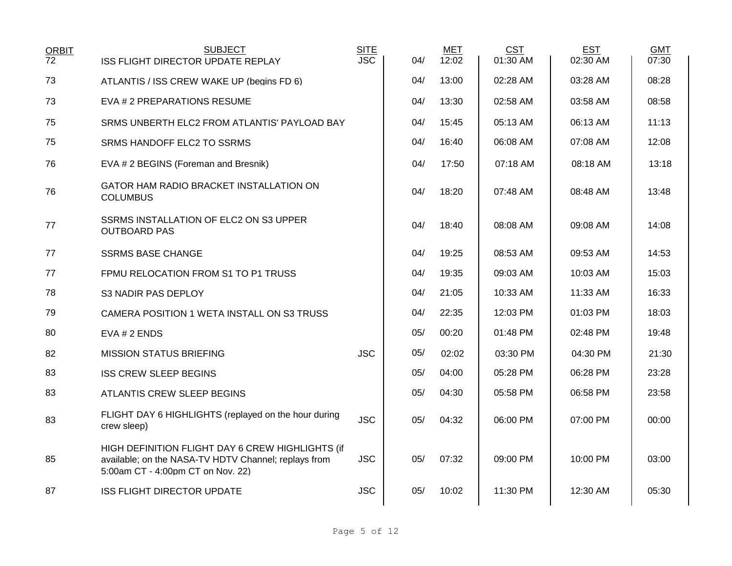| <b>ORBIT</b><br>$\overline{72}$ | <b>SUBJECT</b><br><b>ISS FLIGHT DIRECTOR UPDATE REPLAY</b>                                                                                    | <b>SITE</b><br><b>JSC</b> | 04/ | MET<br>12:02 | CST<br>01:30 AM | <b>EST</b><br>02:30 AM | <b>GMT</b><br>07:30 |
|---------------------------------|-----------------------------------------------------------------------------------------------------------------------------------------------|---------------------------|-----|--------------|-----------------|------------------------|---------------------|
| 73                              | ATLANTIS / ISS CREW WAKE UP (begins FD 6)                                                                                                     |                           | 04/ | 13:00        | 02:28 AM        | 03:28 AM               | 08:28               |
| 73                              | EVA # 2 PREPARATIONS RESUME                                                                                                                   |                           | 04/ | 13:30        | 02:58 AM        | 03:58 AM               | 08:58               |
| 75                              | SRMS UNBERTH ELC2 FROM ATLANTIS' PAYLOAD BAY                                                                                                  |                           | 04/ | 15:45        | 05:13 AM        | 06:13 AM               | 11:13               |
| 75                              | SRMS HANDOFF ELC2 TO SSRMS                                                                                                                    |                           | 04/ | 16:40        | 06:08 AM        | 07:08 AM               | 12:08               |
| 76                              | EVA # 2 BEGINS (Foreman and Bresnik)                                                                                                          |                           | 04/ | 17:50        | 07:18 AM        | 08:18 AM               | 13:18               |
| 76                              | GATOR HAM RADIO BRACKET INSTALLATION ON<br><b>COLUMBUS</b>                                                                                    |                           | 04/ | 18:20        | 07:48 AM        | 08:48 AM               | 13:48               |
| 77                              | SSRMS INSTALLATION OF ELC2 ON S3 UPPER<br><b>OUTBOARD PAS</b>                                                                                 |                           | 04/ | 18:40        | 08:08 AM        | 09:08 AM               | 14:08               |
| 77                              | <b>SSRMS BASE CHANGE</b>                                                                                                                      |                           | 04/ | 19:25        | 08:53 AM        | 09:53 AM               | 14:53               |
| 77                              | FPMU RELOCATION FROM S1 TO P1 TRUSS                                                                                                           |                           | 04/ | 19:35        | 09:03 AM        | 10:03 AM               | 15:03               |
| 78                              | <b>S3 NADIR PAS DEPLOY</b>                                                                                                                    |                           | 04/ | 21:05        | 10:33 AM        | 11:33 AM               | 16:33               |
| 79                              | CAMERA POSITION 1 WETA INSTALL ON S3 TRUSS                                                                                                    |                           | 04/ | 22:35        | 12:03 PM        | 01:03 PM               | 18:03               |
| 80                              | EVA # 2 ENDS                                                                                                                                  |                           | 05/ | 00:20        | 01:48 PM        | 02:48 PM               | 19:48               |
| 82                              | <b>MISSION STATUS BRIEFING</b>                                                                                                                | <b>JSC</b>                | 05/ | 02:02        | 03:30 PM        | 04:30 PM               | 21:30               |
| 83                              | <b>ISS CREW SLEEP BEGINS</b>                                                                                                                  |                           | 05/ | 04:00        | 05:28 PM        | 06:28 PM               | 23:28               |
| 83                              | ATLANTIS CREW SLEEP BEGINS                                                                                                                    |                           | 05/ | 04:30        | 05:58 PM        | 06:58 PM               | 23:58               |
| 83                              | FLIGHT DAY 6 HIGHLIGHTS (replayed on the hour during<br>crew sleep)                                                                           | <b>JSC</b>                | 05/ | 04:32        | 06:00 PM        | 07:00 PM               | 00:00               |
| 85                              | HIGH DEFINITION FLIGHT DAY 6 CREW HIGHLIGHTS (if<br>available; on the NASA-TV HDTV Channel; replays from<br>5:00am CT - 4:00pm CT on Nov. 22) | <b>JSC</b>                | 05/ | 07:32        | 09:00 PM        | 10:00 PM               | 03:00               |
| 87                              | <b>ISS FLIGHT DIRECTOR UPDATE</b>                                                                                                             | <b>JSC</b>                | 05/ | 10:02        | 11:30 PM        | 12:30 AM               | 05:30               |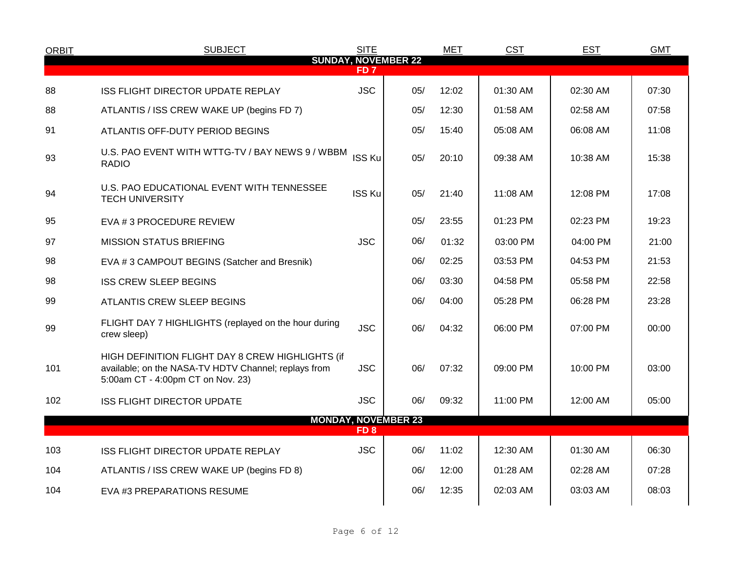| <b>ORBIT</b> | <b>SUBJECT</b>                                                                                                                                | <b>SITE</b>     |                            | <b>MET</b> | <b>CST</b> | <b>EST</b> | <b>GMT</b> |
|--------------|-----------------------------------------------------------------------------------------------------------------------------------------------|-----------------|----------------------------|------------|------------|------------|------------|
|              | <b>SUNDAY, NOVEMBER 22</b>                                                                                                                    | FD 7            |                            |            |            |            |            |
| 88           | ISS FLIGHT DIRECTOR UPDATE REPLAY                                                                                                             | <b>JSC</b>      | 05/                        | 12:02      | 01:30 AM   | 02:30 AM   | 07:30      |
| 88           | ATLANTIS / ISS CREW WAKE UP (begins FD 7)                                                                                                     |                 | 05/                        | 12:30      | 01:58 AM   | 02:58 AM   | 07:58      |
| 91           | ATLANTIS OFF-DUTY PERIOD BEGINS                                                                                                               |                 | 05/                        | 15:40      | 05:08 AM   | 06:08 AM   | 11:08      |
| 93           | U.S. PAO EVENT WITH WTTG-TV / BAY NEWS 9 / WBBM<br><b>RADIO</b>                                                                               | <b>ISS Ku</b>   | 05/                        | 20:10      | 09:38 AM   | 10:38 AM   | 15:38      |
| 94           | U.S. PAO EDUCATIONAL EVENT WITH TENNESSEE<br><b>TECH UNIVERSITY</b>                                                                           | <b>ISS Ku</b>   | 05/                        | 21:40      | 11:08 AM   | 12:08 PM   | 17:08      |
| 95           | EVA # 3 PROCEDURE REVIEW                                                                                                                      |                 | 05/                        | 23:55      | 01:23 PM   | 02:23 PM   | 19:23      |
| 97           | <b>MISSION STATUS BRIEFING</b>                                                                                                                | <b>JSC</b>      | 06/                        | 01:32      | 03:00 PM   | 04:00 PM   | 21:00      |
| 98           | EVA #3 CAMPOUT BEGINS (Satcher and Bresnik)                                                                                                   |                 | 06/                        | 02:25      | 03:53 PM   | 04:53 PM   | 21:53      |
| 98           | <b>ISS CREW SLEEP BEGINS</b>                                                                                                                  |                 | 06/                        | 03:30      | 04:58 PM   | 05:58 PM   | 22:58      |
| 99           | ATLANTIS CREW SLEEP BEGINS                                                                                                                    |                 | 06/                        | 04:00      | 05:28 PM   | 06:28 PM   | 23:28      |
| 99           | FLIGHT DAY 7 HIGHLIGHTS (replayed on the hour during<br>crew sleep)                                                                           | <b>JSC</b>      | 06/                        | 04:32      | 06:00 PM   | 07:00 PM   | 00:00      |
| 101          | HIGH DEFINITION FLIGHT DAY 8 CREW HIGHLIGHTS (if<br>available; on the NASA-TV HDTV Channel; replays from<br>5:00am CT - 4:00pm CT on Nov. 23) | <b>JSC</b>      | 06/                        | 07:32      | 09:00 PM   | 10:00 PM   | 03:00      |
| 102          | <b>ISS FLIGHT DIRECTOR UPDATE</b>                                                                                                             | <b>JSC</b>      | 06/                        | 09:32      | 11:00 PM   | 12:00 AM   | 05:00      |
|              |                                                                                                                                               | FD <sub>8</sub> | <b>MONDAY, NOVEMBER 23</b> |            |            |            |            |
| 103          | ISS FLIGHT DIRECTOR UPDATE REPLAY                                                                                                             | <b>JSC</b>      | 06/                        | 11:02      | 12:30 AM   | 01:30 AM   | 06:30      |
| 104          | ATLANTIS / ISS CREW WAKE UP (begins FD 8)                                                                                                     |                 | 06/                        | 12:00      | 01:28 AM   | 02:28 AM   | 07:28      |
|              |                                                                                                                                               |                 | 06/                        | 12:35      | 02:03 AM   | 03:03 AM   | 08:03      |
| 104          | EVA #3 PREPARATIONS RESUME                                                                                                                    |                 |                            |            |            |            |            |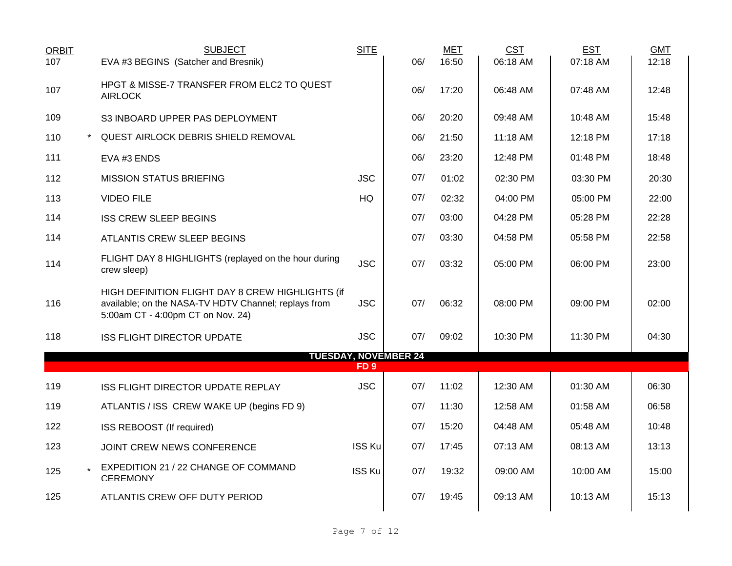| <b>ORBIT</b> | <b>SUBJECT</b>                                                                                                                                | <b>SITE</b>   |                             | <b>MET</b> | <b>CST</b> | <b>EST</b> | <b>GMT</b> |
|--------------|-----------------------------------------------------------------------------------------------------------------------------------------------|---------------|-----------------------------|------------|------------|------------|------------|
| 107          | EVA #3 BEGINS (Satcher and Bresnik)                                                                                                           |               | 06/                         | 16:50      | 06:18 AM   | 07:18 AM   | 12:18      |
| 107          | HPGT & MISSE-7 TRANSFER FROM ELC2 TO QUEST<br><b>AIRLOCK</b>                                                                                  |               | 06/                         | 17:20      | 06:48 AM   | 07:48 AM   | 12:48      |
| 109          | S3 INBOARD UPPER PAS DEPLOYMENT                                                                                                               |               | 06/                         | 20:20      | 09:48 AM   | 10:48 AM   | 15:48      |
| 110          | <b>QUEST AIRLOCK DEBRIS SHIELD REMOVAL</b>                                                                                                    |               | 06/                         | 21:50      | 11:18 AM   | 12:18 PM   | 17:18      |
| 111          | EVA #3 ENDS                                                                                                                                   |               | 06/                         | 23:20      | 12:48 PM   | 01:48 PM   | 18:48      |
| 112          | <b>MISSION STATUS BRIEFING</b>                                                                                                                | <b>JSC</b>    | 07/                         | 01:02      | 02:30 PM   | 03:30 PM   | 20:30      |
| 113          | <b>VIDEO FILE</b>                                                                                                                             | HQ            | 07/                         | 02:32      | 04:00 PM   | 05:00 PM   | 22:00      |
| 114          | <b>ISS CREW SLEEP BEGINS</b>                                                                                                                  |               | 07/                         | 03:00      | 04:28 PM   | 05:28 PM   | 22:28      |
| 114          | ATLANTIS CREW SLEEP BEGINS                                                                                                                    |               | 07/                         | 03:30      | 04:58 PM   | 05:58 PM   | 22:58      |
| 114          | FLIGHT DAY 8 HIGHLIGHTS (replayed on the hour during<br>crew sleep)                                                                           | <b>JSC</b>    | 07/                         | 03:32      | 05:00 PM   | 06:00 PM   | 23:00      |
| 116          | HIGH DEFINITION FLIGHT DAY 8 CREW HIGHLIGHTS (if<br>available; on the NASA-TV HDTV Channel; replays from<br>5:00am CT - 4:00pm CT on Nov. 24) | <b>JSC</b>    | 07/                         | 06:32      | 08:00 PM   | 09:00 PM   | 02:00      |
| 118          | ISS FLIGHT DIRECTOR UPDATE                                                                                                                    | <b>JSC</b>    | 07/                         | 09:02      | 10:30 PM   | 11:30 PM   | 04:30      |
|              |                                                                                                                                               |               | <b>TUESDAY, NOVEMBER 24</b> |            |            |            |            |
|              |                                                                                                                                               | FD 9          |                             |            |            |            |            |
| 119          | ISS FLIGHT DIRECTOR UPDATE REPLAY                                                                                                             | <b>JSC</b>    | 07/                         | 11:02      | 12:30 AM   | 01:30 AM   | 06:30      |
| 119          | ATLANTIS / ISS CREW WAKE UP (begins FD 9)                                                                                                     |               | 07/                         | 11:30      | 12:58 AM   | 01:58 AM   | 06:58      |
| 122          | ISS REBOOST (If required)                                                                                                                     |               | 07/                         | 15:20      | 04:48 AM   | 05:48 AM   | 10:48      |
| 123          | JOINT CREW NEWS CONFERENCE                                                                                                                    | <b>ISS Ku</b> | 07/                         | 17:45      | 07:13 AM   | 08:13 AM   | 13:13      |
| 125          | EXPEDITION 21 / 22 CHANGE OF COMMAND<br><b>CEREMONY</b>                                                                                       | <b>ISS Ku</b> | 07/                         | 19:32      | 09:00 AM   | 10:00 AM   | 15:00      |
| 125          | ATLANTIS CREW OFF DUTY PERIOD                                                                                                                 |               | 07/                         | 19:45      | 09:13 AM   | 10:13 AM   | 15:13      |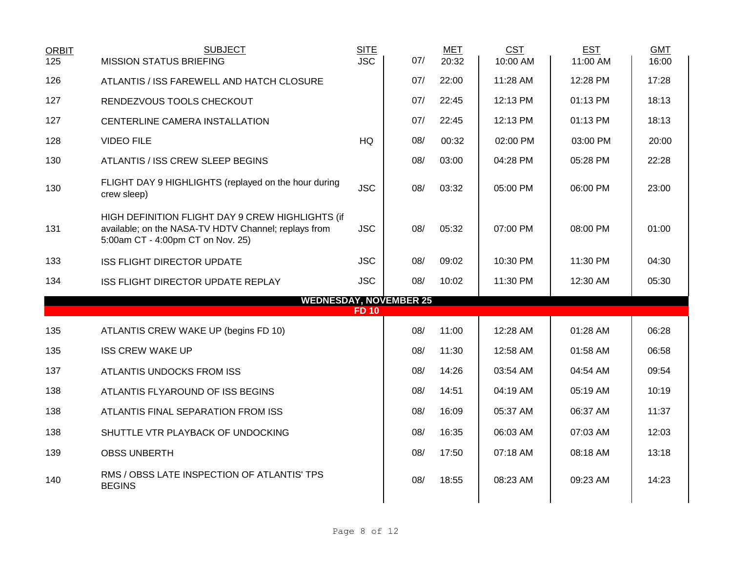| <b>ORBIT</b><br>125 | <b>SUBJECT</b><br><b>MISSION STATUS BRIEFING</b>                                                                                              | <b>SITE</b><br><b>JSC</b> | 07/ | <b>MET</b><br>20:32 | <b>CST</b><br>10:00 AM | <b>EST</b><br>11:00 AM | <b>GMT</b><br>16:00 |
|---------------------|-----------------------------------------------------------------------------------------------------------------------------------------------|---------------------------|-----|---------------------|------------------------|------------------------|---------------------|
|                     |                                                                                                                                               |                           |     |                     |                        |                        |                     |
| 126                 | ATLANTIS / ISS FAREWELL AND HATCH CLOSURE                                                                                                     |                           | 07/ | 22:00               | 11:28 AM               | 12:28 PM               | 17:28               |
| 127                 | RENDEZVOUS TOOLS CHECKOUT                                                                                                                     |                           | 07/ | 22:45               | 12:13 PM               | 01:13 PM               | 18:13               |
| 127                 | CENTERLINE CAMERA INSTALLATION                                                                                                                |                           | 07/ | 22:45               | 12:13 PM               | 01:13 PM               | 18:13               |
| 128                 | <b>VIDEO FILE</b>                                                                                                                             | <b>HQ</b>                 | 08/ | 00:32               | 02:00 PM               | 03:00 PM               | 20:00               |
| 130                 | ATLANTIS / ISS CREW SLEEP BEGINS                                                                                                              |                           | 08/ | 03:00               | 04:28 PM               | 05:28 PM               | 22:28               |
| 130                 | FLIGHT DAY 9 HIGHLIGHTS (replayed on the hour during<br>crew sleep)                                                                           | <b>JSC</b>                | 08/ | 03:32               | 05:00 PM               | 06:00 PM               | 23:00               |
| 131                 | HIGH DEFINITION FLIGHT DAY 9 CREW HIGHLIGHTS (if<br>available; on the NASA-TV HDTV Channel; replays from<br>5:00am CT - 4:00pm CT on Nov. 25) | <b>JSC</b>                | 08/ | 05:32               | 07:00 PM               | 08:00 PM               | 01:00               |
| 133                 | <b>ISS FLIGHT DIRECTOR UPDATE</b>                                                                                                             | <b>JSC</b>                | 08/ | 09:02               | 10:30 PM               | 11:30 PM               | 04:30               |
| 134                 | ISS FLIGHT DIRECTOR UPDATE REPLAY                                                                                                             | <b>JSC</b>                | 08/ | 10:02               | 11:30 PM               | 12:30 AM               | 05:30               |
|                     | <b>WEDNESDAY, NOVEMBER 25</b>                                                                                                                 | <b>FD10</b>               |     |                     |                        |                        |                     |
|                     |                                                                                                                                               |                           |     |                     | 12:28 AM               | 01:28 AM               |                     |
| 135                 | ATLANTIS CREW WAKE UP (begins FD 10)                                                                                                          |                           | 08/ | 11:00               |                        |                        | 06:28               |
| 135                 | <b>ISS CREW WAKE UP</b>                                                                                                                       |                           | 08/ | 11:30               | 12:58 AM               | 01:58 AM               | 06:58               |
| 137                 | ATLANTIS UNDOCKS FROM ISS                                                                                                                     |                           | 08/ | 14:26               | 03:54 AM               | 04:54 AM               | 09:54               |
| 138                 | ATLANTIS FLYAROUND OF ISS BEGINS                                                                                                              |                           | 08/ | 14:51               | 04:19 AM               | 05:19 AM               | 10:19               |
| 138                 | ATLANTIS FINAL SEPARATION FROM ISS                                                                                                            |                           | 08/ | 16:09               | 05:37 AM               | 06:37 AM               | 11:37               |
| 138                 | SHUTTLE VTR PLAYBACK OF UNDOCKING                                                                                                             |                           | 08/ | 16:35               | 06:03 AM               | 07:03 AM               | 12:03               |
| 139                 | <b>OBSS UNBERTH</b>                                                                                                                           |                           | 08/ | 17:50               | 07:18 AM               | 08:18 AM               | 13:18               |
| 140                 | RMS / OBSS LATE INSPECTION OF ATLANTIS' TPS<br><b>BEGINS</b>                                                                                  |                           | 08/ | 18:55               | 08:23 AM               | 09:23 AM               | 14:23               |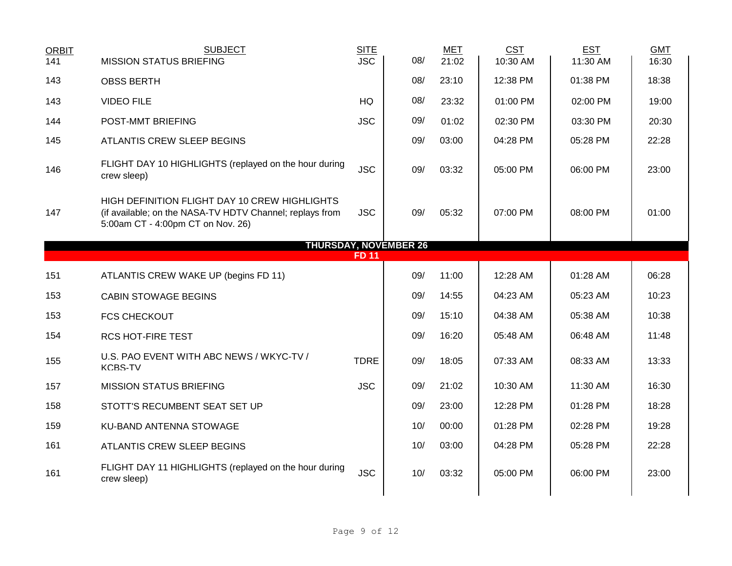| <b>ORBIT</b> | <b>SUBJECT</b>                                                                                                                                 | <b>SITE</b><br><b>JSC</b> | 08/                          | <b>MET</b> | <b>CST</b> | <b>EST</b> | <b>GMT</b> |
|--------------|------------------------------------------------------------------------------------------------------------------------------------------------|---------------------------|------------------------------|------------|------------|------------|------------|
| 141          | <b>MISSION STATUS BRIEFING</b>                                                                                                                 |                           |                              | 21:02      | 10:30 AM   | 11:30 AM   | 16:30      |
| 143          | <b>OBSS BERTH</b>                                                                                                                              |                           | 08/                          | 23:10      | 12:38 PM   | 01:38 PM   | 18:38      |
| 143          | <b>VIDEO FILE</b>                                                                                                                              | HQ                        | 08/                          | 23:32      | 01:00 PM   | 02:00 PM   | 19:00      |
| 144          | POST-MMT BRIEFING                                                                                                                              | <b>JSC</b>                | 09/                          | 01:02      | 02:30 PM   | 03:30 PM   | 20:30      |
| 145          | ATLANTIS CREW SLEEP BEGINS                                                                                                                     |                           | 09/                          | 03:00      | 04:28 PM   | 05:28 PM   | 22:28      |
| 146          | FLIGHT DAY 10 HIGHLIGHTS (replayed on the hour during<br>crew sleep)                                                                           | <b>JSC</b>                | 09/                          | 03:32      | 05:00 PM   | 06:00 PM   | 23:00      |
| 147          | HIGH DEFINITION FLIGHT DAY 10 CREW HIGHLIGHTS<br>(if available; on the NASA-TV HDTV Channel; replays from<br>5:00am CT - 4:00pm CT on Nov. 26) | <b>JSC</b>                | 09/                          | 05:32      | 07:00 PM   | 08:00 PM   | 01:00      |
|              |                                                                                                                                                | <b>FD 11</b>              | <b>THURSDAY, NOVEMBER 26</b> |            |            |            |            |
|              |                                                                                                                                                |                           |                              |            |            |            |            |
| 151          | ATLANTIS CREW WAKE UP (begins FD 11)                                                                                                           |                           | 09/                          | 11:00      | 12:28 AM   | 01:28 AM   | 06:28      |
| 153          | <b>CABIN STOWAGE BEGINS</b>                                                                                                                    |                           | 09/                          | 14:55      | 04:23 AM   | 05:23 AM   | 10:23      |
| 153          | <b>FCS CHECKOUT</b>                                                                                                                            |                           | 09/                          | 15:10      | 04:38 AM   | 05:38 AM   | 10:38      |
| 154          | <b>RCS HOT-FIRE TEST</b>                                                                                                                       |                           | 09/                          | 16:20      | 05:48 AM   | 06:48 AM   | 11:48      |
| 155          | U.S. PAO EVENT WITH ABC NEWS / WKYC-TV /<br><b>KCBS-TV</b>                                                                                     | <b>TDRE</b>               | 09/                          | 18:05      | 07:33 AM   | 08:33 AM   | 13:33      |
| 157          | <b>MISSION STATUS BRIEFING</b>                                                                                                                 | <b>JSC</b>                | 09/                          | 21:02      | 10:30 AM   | 11:30 AM   | 16:30      |
| 158          | STOTT'S RECUMBENT SEAT SET UP                                                                                                                  |                           | 09/                          | 23:00      | 12:28 PM   | 01:28 PM   | 18:28      |
| 159          | KU-BAND ANTENNA STOWAGE                                                                                                                        |                           | 10/                          | 00:00      | 01:28 PM   | 02:28 PM   | 19:28      |
| 161          | ATLANTIS CREW SLEEP BEGINS                                                                                                                     |                           | 10/                          | 03:00      | 04:28 PM   | 05:28 PM   | 22:28      |
| 161          | FLIGHT DAY 11 HIGHLIGHTS (replayed on the hour during<br>crew sleep)                                                                           | <b>JSC</b>                | 10/                          | 03:32      | 05:00 PM   | 06:00 PM   | 23:00      |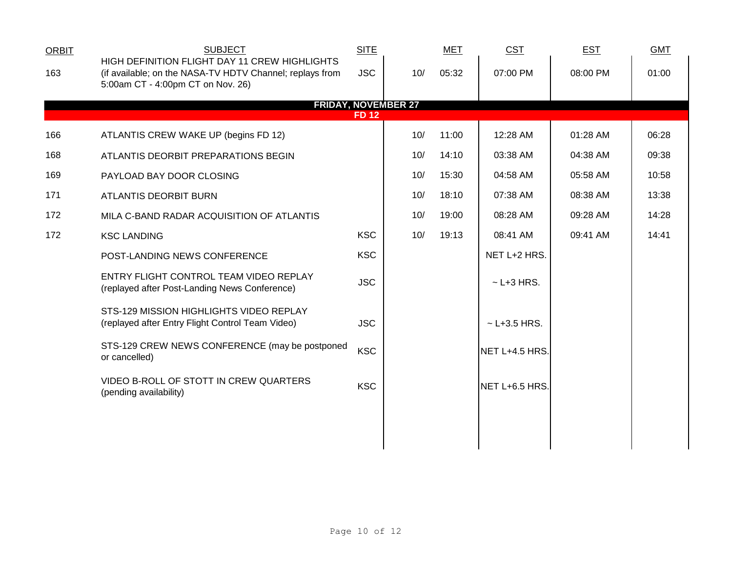| <b>ORBIT</b> | <b>SUBJECT</b>                                                                                                                                 | <b>SITE</b> |     | <b>MET</b> | <b>CST</b>       | <b>EST</b> | <b>GMT</b> |  |
|--------------|------------------------------------------------------------------------------------------------------------------------------------------------|-------------|-----|------------|------------------|------------|------------|--|
| 163          | HIGH DEFINITION FLIGHT DAY 11 CREW HIGHLIGHTS<br>(if available; on the NASA-TV HDTV Channel; replays from<br>5:00am CT - 4:00pm CT on Nov. 26) | <b>JSC</b>  | 10/ | 05:32      | 07:00 PM         | 08:00 PM   | 01:00      |  |
|              | <b>FRIDAY, NOVEMBER 27</b>                                                                                                                     |             |     |            |                  |            |            |  |
|              |                                                                                                                                                | <b>FD12</b> |     |            |                  |            |            |  |
| 166          | ATLANTIS CREW WAKE UP (begins FD 12)                                                                                                           |             | 10/ | 11:00      | 12:28 AM         | 01:28 AM   | 06:28      |  |
| 168          | ATLANTIS DEORBIT PREPARATIONS BEGIN                                                                                                            |             | 10/ | 14:10      | 03:38 AM         | 04:38 AM   | 09:38      |  |
| 169          | PAYLOAD BAY DOOR CLOSING                                                                                                                       |             | 10/ | 15:30      | 04:58 AM         | 05:58 AM   | 10:58      |  |
| 171          | <b>ATLANTIS DEORBIT BURN</b>                                                                                                                   |             | 10/ | 18:10      | 07:38 AM         | 08:38 AM   | 13:38      |  |
| 172          | MILA C-BAND RADAR ACQUISITION OF ATLANTIS                                                                                                      |             | 10/ | 19:00      | 08:28 AM         | 09:28 AM   | 14:28      |  |
| 172          | <b>KSC LANDING</b>                                                                                                                             | <b>KSC</b>  | 10/ | 19:13      | 08:41 AM         | 09:41 AM   | 14:41      |  |
|              | POST-LANDING NEWS CONFERENCE                                                                                                                   | <b>KSC</b>  |     |            | NET L+2 HRS.     |            |            |  |
|              | ENTRY FLIGHT CONTROL TEAM VIDEO REPLAY<br>(replayed after Post-Landing News Conference)                                                        | <b>JSC</b>  |     |            | $\sim$ L+3 HRS.  |            |            |  |
|              | STS-129 MISSION HIGHLIGHTS VIDEO REPLAY<br>(replayed after Entry Flight Control Team Video)                                                    | <b>JSC</b>  |     |            | $~$ - L+3.5 HRS. |            |            |  |
|              | STS-129 CREW NEWS CONFERENCE (may be postponed<br>or cancelled)                                                                                | <b>KSC</b>  |     |            | NET L+4.5 HRS.   |            |            |  |
|              | VIDEO B-ROLL OF STOTT IN CREW QUARTERS<br>(pending availability)                                                                               | <b>KSC</b>  |     |            | NET L+6.5 HRS.   |            |            |  |
|              |                                                                                                                                                |             |     |            |                  |            |            |  |
|              |                                                                                                                                                |             |     |            |                  |            |            |  |
|              |                                                                                                                                                |             |     |            |                  |            |            |  |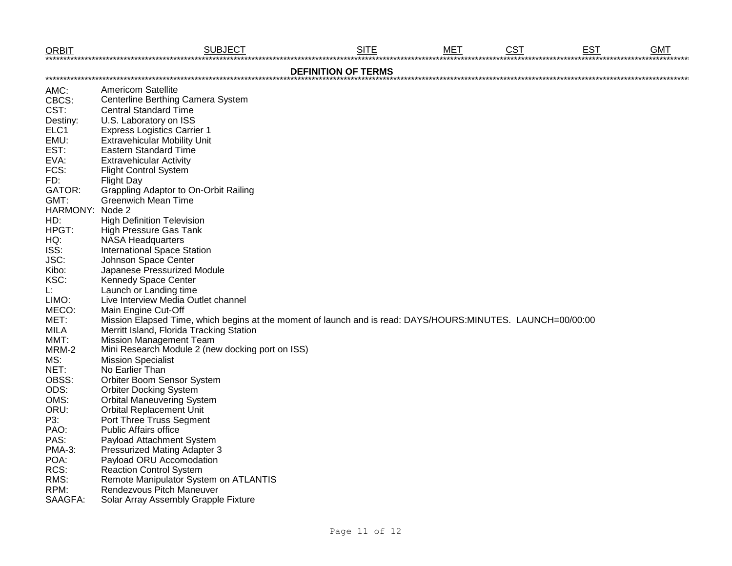| <b>ORBIT</b>               | <b>SUBJECT</b>                                                                                              | <b>SITE</b> | <b>MET</b> | <b>CST</b> | <b>EST</b> | <b>GMT</b> |  |  |  |  |  |
|----------------------------|-------------------------------------------------------------------------------------------------------------|-------------|------------|------------|------------|------------|--|--|--|--|--|
| <b>DEFINITION OF TERMS</b> |                                                                                                             |             |            |            |            |            |  |  |  |  |  |
| AMC:                       | <b>Americom Satellite</b>                                                                                   |             |            |            |            |            |  |  |  |  |  |
| CBCS:                      | Centerline Berthing Camera System                                                                           |             |            |            |            |            |  |  |  |  |  |
| CST:                       | <b>Central Standard Time</b>                                                                                |             |            |            |            |            |  |  |  |  |  |
| Destiny:                   | U.S. Laboratory on ISS                                                                                      |             |            |            |            |            |  |  |  |  |  |
| ELC1                       | <b>Express Logistics Carrier 1</b>                                                                          |             |            |            |            |            |  |  |  |  |  |
| EMU:                       | <b>Extravehicular Mobility Unit</b>                                                                         |             |            |            |            |            |  |  |  |  |  |
| EST:                       | <b>Eastern Standard Time</b>                                                                                |             |            |            |            |            |  |  |  |  |  |
| EVA:                       | <b>Extravehicular Activity</b>                                                                              |             |            |            |            |            |  |  |  |  |  |
| FCS:                       | <b>Flight Control System</b>                                                                                |             |            |            |            |            |  |  |  |  |  |
| FD:                        | <b>Flight Day</b>                                                                                           |             |            |            |            |            |  |  |  |  |  |
| GATOR:                     | Grappling Adaptor to On-Orbit Railing                                                                       |             |            |            |            |            |  |  |  |  |  |
| GMT:                       | <b>Greenwich Mean Time</b>                                                                                  |             |            |            |            |            |  |  |  |  |  |
| HARMONY: Node 2            |                                                                                                             |             |            |            |            |            |  |  |  |  |  |
| HD:                        | <b>High Definition Television</b>                                                                           |             |            |            |            |            |  |  |  |  |  |
| HPGT:                      | High Pressure Gas Tank                                                                                      |             |            |            |            |            |  |  |  |  |  |
| HQ:                        | <b>NASA Headquarters</b>                                                                                    |             |            |            |            |            |  |  |  |  |  |
| ISS:                       | International Space Station                                                                                 |             |            |            |            |            |  |  |  |  |  |
| JSC:                       | Johnson Space Center                                                                                        |             |            |            |            |            |  |  |  |  |  |
| Kibo:                      | Japanese Pressurized Module                                                                                 |             |            |            |            |            |  |  |  |  |  |
| KSC:                       | <b>Kennedy Space Center</b>                                                                                 |             |            |            |            |            |  |  |  |  |  |
| L:                         | Launch or Landing time                                                                                      |             |            |            |            |            |  |  |  |  |  |
| LIMO:                      | Live Interview Media Outlet channel                                                                         |             |            |            |            |            |  |  |  |  |  |
| MECO:                      | Main Engine Cut-Off                                                                                         |             |            |            |            |            |  |  |  |  |  |
| MET:                       | Mission Elapsed Time, which begins at the moment of launch and is read: DAYS/HOURS:MINUTES. LAUNCH=00/00:00 |             |            |            |            |            |  |  |  |  |  |
| <b>MILA</b>                | Merritt Island, Florida Tracking Station                                                                    |             |            |            |            |            |  |  |  |  |  |
| MMT:                       | <b>Mission Management Team</b>                                                                              |             |            |            |            |            |  |  |  |  |  |
| MRM-2                      | Mini Research Module 2 (new docking port on ISS)                                                            |             |            |            |            |            |  |  |  |  |  |
| MS:                        | <b>Mission Specialist</b>                                                                                   |             |            |            |            |            |  |  |  |  |  |
| NET:                       | No Earlier Than                                                                                             |             |            |            |            |            |  |  |  |  |  |
| OBSS:                      | Orbiter Boom Sensor System                                                                                  |             |            |            |            |            |  |  |  |  |  |
| ODS:                       | <b>Orbiter Docking System</b>                                                                               |             |            |            |            |            |  |  |  |  |  |
| OMS:                       | <b>Orbital Maneuvering System</b>                                                                           |             |            |            |            |            |  |  |  |  |  |
| ORU:                       | <b>Orbital Replacement Unit</b>                                                                             |             |            |            |            |            |  |  |  |  |  |
| P3:                        | Port Three Truss Segment                                                                                    |             |            |            |            |            |  |  |  |  |  |
| PAO:                       | <b>Public Affairs office</b>                                                                                |             |            |            |            |            |  |  |  |  |  |
| PAS:                       | Payload Attachment System                                                                                   |             |            |            |            |            |  |  |  |  |  |
| <b>PMA-3:</b>              | <b>Pressurized Mating Adapter 3</b>                                                                         |             |            |            |            |            |  |  |  |  |  |
| POA:                       | Payload ORU Accomodation                                                                                    |             |            |            |            |            |  |  |  |  |  |
| RCS:                       | <b>Reaction Control System</b>                                                                              |             |            |            |            |            |  |  |  |  |  |
| RMS:                       | Remote Manipulator System on ATLANTIS                                                                       |             |            |            |            |            |  |  |  |  |  |
| RPM:                       | Rendezvous Pitch Maneuver                                                                                   |             |            |            |            |            |  |  |  |  |  |
| SAAGFA:                    | Solar Array Assembly Grapple Fixture                                                                        |             |            |            |            |            |  |  |  |  |  |